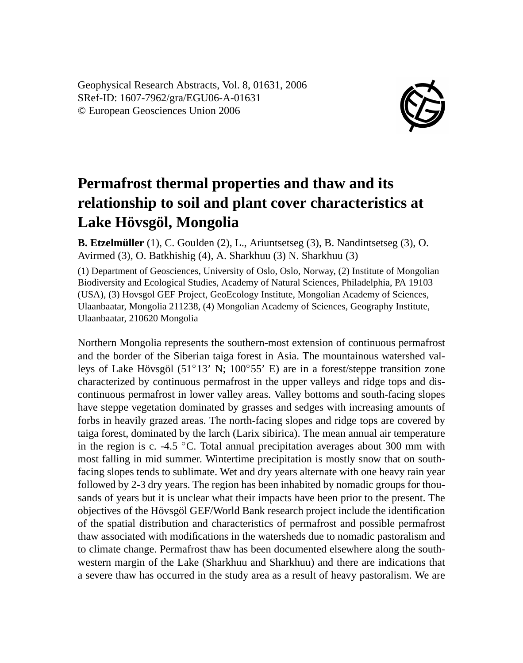Geophysical Research Abstracts, Vol. 8, 01631, 2006 SRef-ID: 1607-7962/gra/EGU06-A-01631 © European Geosciences Union 2006



## **Permafrost thermal properties and thaw and its relationship to soil and plant cover characteristics at Lake Hövsgöl, Mongolia**

**B. Etzelmüller** (1), C. Goulden (2), L., Ariuntsetseg (3), B. Nandintsetseg (3), O. Avirmed (3), O. Batkhishig (4), A. Sharkhuu (3) N. Sharkhuu (3)

(1) Department of Geosciences, University of Oslo, Oslo, Norway, (2) Institute of Mongolian Biodiversity and Ecological Studies, Academy of Natural Sciences, Philadelphia, PA 19103 (USA), (3) Hovsgol GEF Project, GeoEcology Institute, Mongolian Academy of Sciences, Ulaanbaatar, Mongolia 211238, (4) Mongolian Academy of Sciences, Geography Institute, Ulaanbaatar, 210620 Mongolia

Northern Mongolia represents the southern-most extension of continuous permafrost and the border of the Siberian taiga forest in Asia. The mountainous watershed valleys of Lake Hövsgöl (51◦13' N; 100◦55' E) are in a forest/steppe transition zone characterized by continuous permafrost in the upper valleys and ridge tops and discontinuous permafrost in lower valley areas. Valley bottoms and south-facing slopes have steppe vegetation dominated by grasses and sedges with increasing amounts of forbs in heavily grazed areas. The north-facing slopes and ridge tops are covered by taiga forest, dominated by the larch (Larix sibirica). The mean annual air temperature in the region is c. -4.5  $\degree$ C. Total annual precipitation averages about 300 mm with most falling in mid summer. Wintertime precipitation is mostly snow that on southfacing slopes tends to sublimate. Wet and dry years alternate with one heavy rain year followed by 2-3 dry years. The region has been inhabited by nomadic groups for thousands of years but it is unclear what their impacts have been prior to the present. The objectives of the Hövsgöl GEF/World Bank research project include the identification of the spatial distribution and characteristics of permafrost and possible permafrost thaw associated with modifications in the watersheds due to nomadic pastoralism and to climate change. Permafrost thaw has been documented elsewhere along the southwestern margin of the Lake (Sharkhuu and Sharkhuu) and there are indications that a severe thaw has occurred in the study area as a result of heavy pastoralism. We are